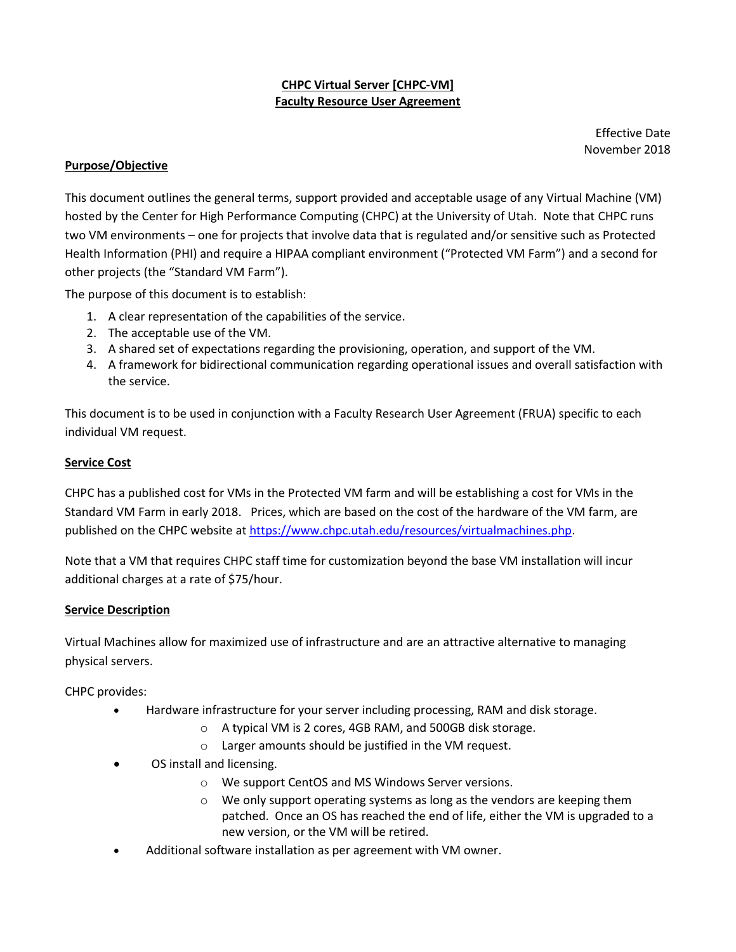# **CHPC Virtual Server [CHPC-VM] Faculty Resource User Agreement**

Effective Date November 2018

## **Purpose/Objective**

This document outlines the general terms, support provided and acceptable usage of any Virtual Machine (VM) hosted by the Center for High Performance Computing (CHPC) at the University of Utah. Note that CHPC runs two VM environments – one for projects that involve data that is regulated and/or sensitive such as Protected Health Information (PHI) and require a HIPAA compliant environment ("Protected VM Farm") and a second for other projects (the "Standard VM Farm").

The purpose of this document is to establish:

- 1. A clear representation of the capabilities of the service.
- 2. The acceptable use of the VM.
- 3. A shared set of expectations regarding the provisioning, operation, and support of the VM.
- 4. A framework for bidirectional communication regarding operational issues and overall satisfaction with the service.

This document is to be used in conjunction with a Faculty Research User Agreement (FRUA) specific to each individual VM request.

# **Service Cost**

CHPC has a published cost for VMs in the Protected VM farm and will be establishing a cost for VMs in the Standard VM Farm in early 2018. Prices, which are based on the cost of the hardware of the VM farm, are published on the CHPC website a[t https://www.chpc.utah.edu/resources/virtualmachines.php.](https://www.chpc.utah.edu/resources/virtualmachines.php)

Note that a VM that requires CHPC staff time for customization beyond the base VM installation will incur additional charges at a rate of \$75/hour.

### **Service Description**

Virtual Machines allow for maximized use of infrastructure and are an attractive alternative to managing physical servers.

CHPC provides:

- Hardware infrastructure for your server including processing, RAM and disk storage.
	- o A typical VM is 2 cores, 4GB RAM, and 500GB disk storage.
	- o Larger amounts should be justified in the VM request.
- OS install and licensing.
	- o We support CentOS and MS Windows Server versions.
	- o We only support operating systems as long as the vendors are keeping them patched. Once an OS has reached the end of life, either the VM is upgraded to a new version, or the VM will be retired.
- Additional software installation as per agreement with VM owner.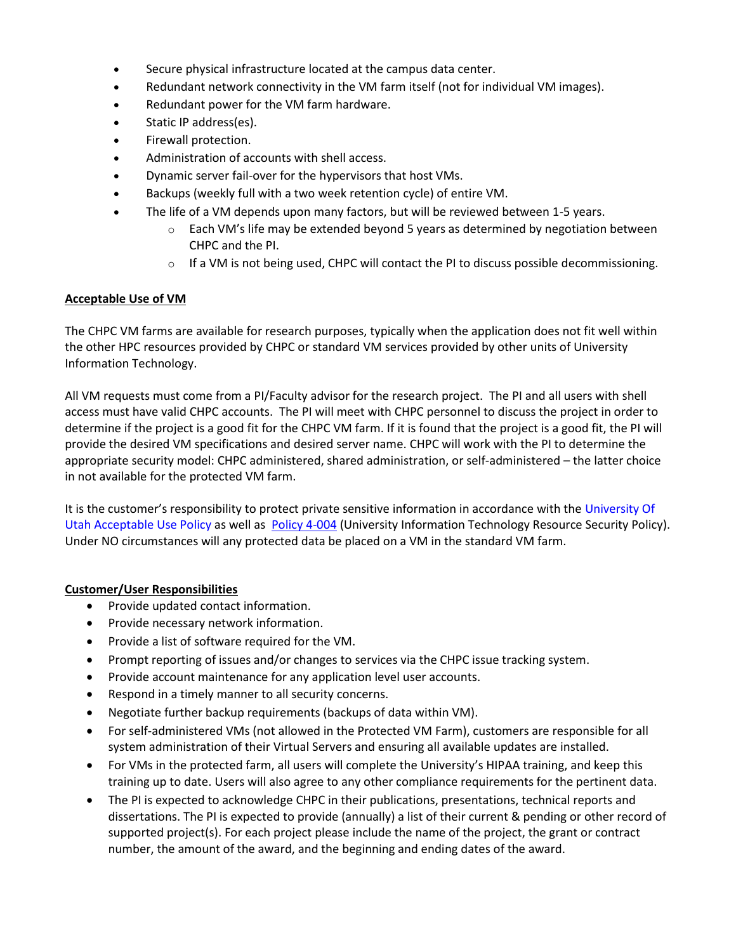- Secure physical infrastructure located at the campus data center.
- Redundant network connectivity in the VM farm itself (not for individual VM images).
- Redundant power for the VM farm hardware.
- Static IP address(es).
- Firewall protection.
- Administration of accounts with shell access.
- Dynamic server fail-over for the hypervisors that host VMs.
- Backups (weekly full with a two week retention cycle) of entire VM.
- The life of a VM depends upon many factors, but will be reviewed between 1-5 years.
	- $\circ$  Each VM's life may be extended beyond 5 years as determined by negotiation between CHPC and the PI.
	- $\circ$  If a VM is not being used, CHPC will contact the PI to discuss possible decommissioning.

#### **Acceptable Use of VM**

The CHPC VM farms are available for research purposes, typically when the application does not fit well within the other HPC resources provided by CHPC or standard VM services provided by other units of University Information Technology.

All VM requests must come from a PI/Faculty advisor for the research project. The PI and all users with shell access must have valid CHPC accounts. The PI will meet with CHPC personnel to discuss the project in order to determine if the project is a good fit for the CHPC VM farm. If it is found that the project is a good fit, the PI will provide the desired VM specifications and desired server name. CHPC will work with the PI to determine the appropriate security model: CHPC administered, shared administration, or self-administered – the latter choice in not available for the protected VM farm.

It is the customer's responsibility to protect private sensitive information in accordance with the University Of [Utah Acceptable Use Policy](http://www.it.utah.edu/leadership/policies/Network_AcceptableUse.html) as well as [Policy 4-004](http://www.regulations.utah.edu/it/4-004.html) (University Information Technology Resource Security Policy). Under NO circumstances will any protected data be placed on a VM in the standard VM farm.

#### **Customer/User Responsibilities**

- Provide updated contact information.
- Provide necessary network information.
- Provide a list of software required for the VM.
- Prompt reporting of issues and/or changes to services via the CHPC issue tracking system.
- Provide account maintenance for any application level user accounts.
- Respond in a timely manner to all security concerns.
- Negotiate further backup requirements (backups of data within VM).
- For self-administered VMs (not allowed in the Protected VM Farm), customers are responsible for all system administration of their Virtual Servers and ensuring all available updates are installed.
- For VMs in the protected farm, all users will complete the University's HIPAA training, and keep this training up to date. Users will also agree to any other compliance requirements for the pertinent data.
- The PI is expected to acknowledge CHPC in their publications, presentations, technical reports and dissertations. The PI is expected to provide (annually) a list of their current & pending or other record of supported project(s). For each project please include the name of the project, the grant or contract number, the amount of the award, and the beginning and ending dates of the award.